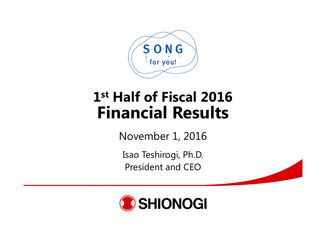

# **1st Half of Fiscal 2016Financial Results**

November 1, 2016

Isao Teshirogi, Ph.D. President and CEO

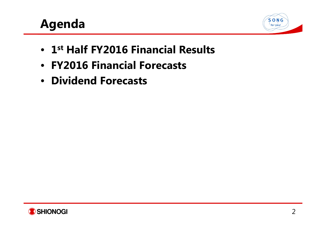# **Agenda**



- **1st Half FY2016 Financial Results**
- **FY2016 Financial Forecasts**
- **Dividend Forecasts**

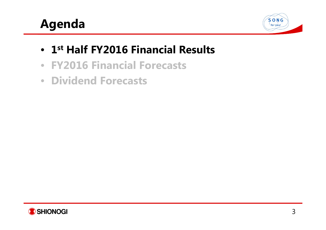# **Agenda**



- **1st Half FY2016 Financial Results**
- **FY2016 Financial Forecasts**
- **Dividend Forecasts**

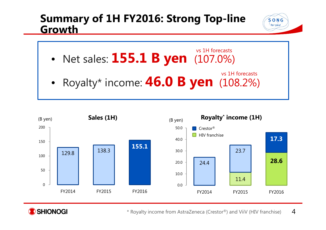#### **Summary of 1H FY2016: Strong Top-line Growth**

 $S$  O N G for you!

- • Net sales: **155.1 B yen** (107.0%) vs 1H forecasts
- • Royalty\* income: **46.0 B yen** (108.2%) vs 1H forecasts





4\* Royalty income from AstraZeneca (Crestor®) and ViiV (HIV franchise)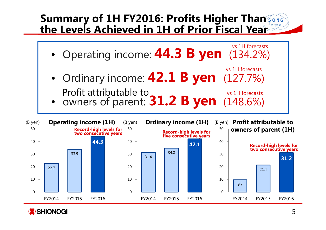#### **Summary of 1H FY2016: Profits Higher Than the Levels Achieved in 1H of Prior Fiscal Year**





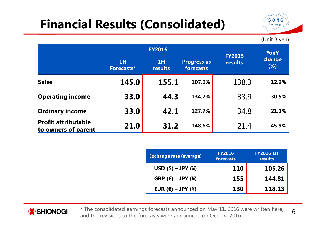# **Financial Results (Consolidated)**



(Unit B yen)

|                                                   |                  | <b>FY2016</b>                                    |        |                                 | YonY          |  |
|---------------------------------------------------|------------------|--------------------------------------------------|--------|---------------------------------|---------------|--|
|                                                   | 1H<br>Forecasts* | 1H<br><b>Progress vs</b><br>forecasts<br>results |        | <b>FY2015</b><br><b>results</b> | change<br>(%) |  |
| <b>Sales</b>                                      | 145.0            | 155.1                                            | 107.0% | 138.3                           | 12.2%         |  |
| <b>Operating income</b>                           | 33.0             | 44.3                                             | 134.2% | 33.9                            | 30.5%         |  |
| <b>Ordinary income</b>                            | 33.0             | 42.1                                             | 127.7% | 34.8                            | 21.1%         |  |
| <b>Profit attributable</b><br>to owners of parent | 21.0             | 31.2                                             | 148.6% | 21.4                            | 45.9%         |  |

| <b>Exchange rate (average)</b>      | <b>FY2016</b><br>forecasts | <b>FY2016 1H</b><br>results |
|-------------------------------------|----------------------------|-----------------------------|
| $USD ($) - JPY (¥)$                 | <b>110</b>                 | 105.26                      |
| GBP $(E)$ – JPY $(\yen)$            | 155                        | 144.81                      |
| EUR $(\epsilon)$ – JPY $(\epsilon)$ | 130                        | 118.13                      |



\* The consolidated earnings forecasts announced on May 11, 2016 were written here, and the revisions to the forecasts were announced on Oct. 24, 2016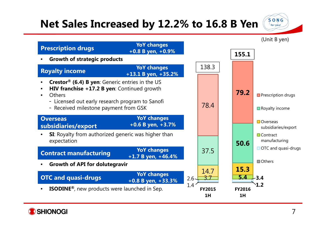### **Net Sales Increased by 12.2% to 16.8 B Yen**





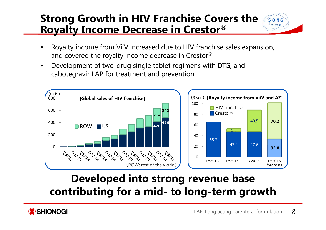#### **Strong Growth in HIV Franchise Covers the Royalty Income Decrease in Crestor ®**



- • Royalty income from ViiV increased due to HIV franchise sales expansion, and covered the royalty income decrease in Crestor $^\circledR$
- • Development of two-drug single tablet regimens with DTG, and cabotegravir LAP for treatment and prevention



## **Developed into strong revenue base contributing for a mid- to long-term growth**

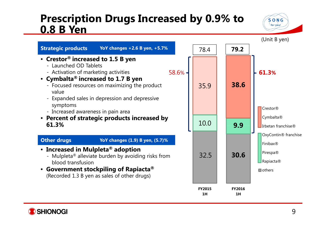#### **Prescription Drugs Increased by 0.9% to 0.8 B Yen**





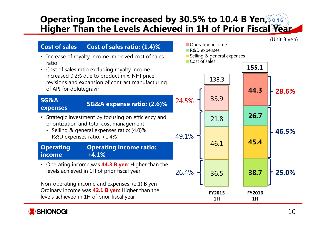#### **Operating Income increased by 30.5% to 10.4 B Yen, Higher Than the Levels Achieved in 1H of Prior Fiscal Year**

(Unit B yen)



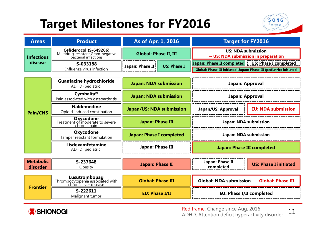# **Target Milestones for FY2016**



| <b>Areas</b>      | <b>Product</b>                                                                      | As of Apr. 1, 2016           |                    | <b>Target for FY2016</b>                                                     |  |  |
|-------------------|-------------------------------------------------------------------------------------|------------------------------|--------------------|------------------------------------------------------------------------------|--|--|
| <b>Infectious</b> | Cefiderocol (S-649266)<br>Multidrug-resistant Gram-negative<br>bacterial infections | <b>Global: Phase II, III</b> |                    | <b>US: NDA submission</b><br>$\rightarrow$ US: NDA submission in preparation |  |  |
| disease           | S-033188                                                                            | <b>Japan: Phase II!</b>      | <b>US: Phase I</b> | Japan: Phase II completed   US: Phase I completed                            |  |  |
|                   | Influenza virus infection                                                           |                              |                    | Global: Phase III initiated, Japan: Phase III (pediatric) initiated          |  |  |

|                 | <b>Guanfacine hydrochloride</b><br>ADHD (pediatric)                 | <b>Japan: NDA submission</b>    | Japan: Approval                                |                           |
|-----------------|---------------------------------------------------------------------|---------------------------------|------------------------------------------------|---------------------------|
|                 | Cymbalta <sup>®</sup><br>Pain associated with osteoarthritis        | <b>Japan: NDA submission</b>    | Japan: Approval                                |                           |
| <b>Pain/CNS</b> | <b>Naldemedine</b><br>Opioid-induced constipation                   | <b>Japan/US: NDA submission</b> | Japan/US: Approval                             | <b>EU: NDA submission</b> |
|                 | <b>Oxycodone</b><br>Treatment of moderate to severe<br>chronic pain | Japan: Phase III                | Japan: NDA submission<br>Japan: NDA submission |                           |
|                 | Oxycodone<br>Tamper resistant formulation                           | <b>Japan: Phase I completed</b> |                                                |                           |
|                 | Lisdexamfetamine<br>ADHD (pediatric)                                | Japan: Phase III                | <b>Japan: Phase III completed</b>              |                           |

| <b>Metabolic</b><br>disorder | S-237648<br>Obesity                                                        | Japan: Phase II          | Japan: Phase II<br><b>US: Phase I initiated</b><br>completed |
|------------------------------|----------------------------------------------------------------------------|--------------------------|--------------------------------------------------------------|
|                              |                                                                            |                          |                                                              |
|                              | Lusutrombopag<br>Thrombocytopenia associated with<br>chronic liver disease | <b>Global: Phase III</b> | Global: NDA submission $\rightarrow$ Global: Phase III       |
| <b>Frontier</b>              | S-222611<br>Malignant tumor                                                | <b>EU: Phase I/II</b>    | <b>EU: Phase I/II completed</b>                              |



Red frame: Change since Aug. 2016 ADHD: Attention deficit hyperactivity disorder

11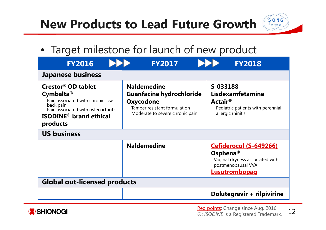# **New Products to Lead Future Growth**



• Target milestone for launch of new product

| <b>FY2016</b>                                                                                                                                                                                      | <b>FY2017</b>                                                                                                                         | <b>FY2018</b>                                                                                                                   |
|----------------------------------------------------------------------------------------------------------------------------------------------------------------------------------------------------|---------------------------------------------------------------------------------------------------------------------------------------|---------------------------------------------------------------------------------------------------------------------------------|
| <b>Japanese business</b>                                                                                                                                                                           |                                                                                                                                       |                                                                                                                                 |
| <b>Crestor® OD tablet</b><br>Cymbalta <sup>®</sup><br>Pain associated with chronic low<br>back pain<br>Pain associated with osteoarthritis<br><b>ISODINE<sup>®</sup></b> brand ethical<br>products | <b>Naldemedine</b><br><b>Guanfacine hydrochloride</b><br>Oxycodone<br>Tamper resistant formulation<br>Moderate to severe chronic pain | S-033188<br><b>Lisdexamfetamine</b><br>Actair ${}^{\circledR}$<br>Pediatric patients with perennial<br>allergic rhinitis        |
| <b>US business</b>                                                                                                                                                                                 |                                                                                                                                       |                                                                                                                                 |
|                                                                                                                                                                                                    | <b>Naldemedine</b>                                                                                                                    | Cefiderocol (S-649266)<br>Osphena <sup>®</sup><br>Vaginal dryness associated with<br>postmenopausal VVA<br><b>Lusutrombopag</b> |
| <b>Global out-licensed products</b>                                                                                                                                                                |                                                                                                                                       |                                                                                                                                 |
|                                                                                                                                                                                                    |                                                                                                                                       | Dolutegravir + rilpivirine                                                                                                      |



12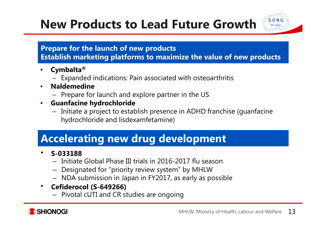# **New Products to Lead Future Growth**

#### **Prepare for the launch of new products**

**Establish marketing platforms to maximize the value of new products**

- $\bullet$  **Cymbalta ®**
	- Expanded indications: Pain associated with osteoarthritis
- • **Naldemedine**
	- Prepare for launch and explore partner in the US
- $\bullet$  **Guanfacine hydrochloride**
	- Initiate a project to establish presence in ADHD franchise (guanfacine hydrochloride and lisdexamfetamine)

### **Accelerating new drug development**

#### •**S-033188**

- Initiate Global Phase III trials in 2016-2017 flu season
- Designated for "priority review system" by MHLW
- NDA submission in Japan in FY2017, as early as possible
- $\bullet$  **Cefiderocol (S-649266)**
	- Pivotal cUTI and CR studies are ongoing



 $S$  O N G for you!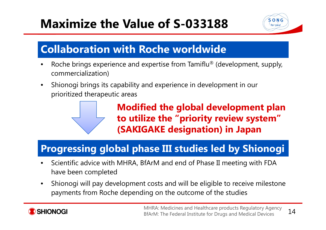# **Maximize the Value of S-033188**



### **Collaboration with Roche worldwide**

- •• Roche brings experience and expertise from Tamiflu® (development, supply, commercialization)
- $\bullet$  Shionogi brings its capability and experience in development in our prioritized therapeutic areas



### **Progressing global phase III studies led by Shionogi**

- • Scientific advice with MHRA, BfArM and end of Phase II meeting with FDA have been completed
- • Shionogi will pay development costs and will be eligible to receive milestone payments from Roche depending on the outcome of the studies

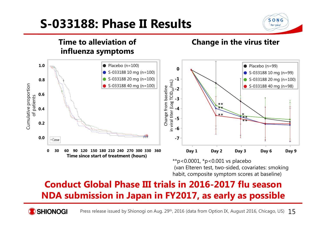# **S-033188: Phase II Results**





(van Elteren test, two-sided, covariates: smoking habit, composite symptom scores at baseline)

#### **Conduct Global Phase III trials in 2016-2017 flu seasonNDA submission in Japan in FY2017, as early as possible**

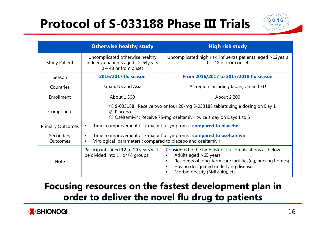# **Protocol of S-033188 Phase III Trials**



|                         | <b>Otherwise healthy study</b>                                                                                                                                     | <b>High risk study</b>                                                                                                                                                                                                                              |  |  |
|-------------------------|--------------------------------------------------------------------------------------------------------------------------------------------------------------------|-----------------------------------------------------------------------------------------------------------------------------------------------------------------------------------------------------------------------------------------------------|--|--|
| <b>Study Patient</b>    | Uncomplicated otherwise healthy<br>influenza patients aged 12-64years<br>$0 - 48$ hr from onset                                                                    | Uncomplicated high risk influenza patients aged >12years<br>$0 - 48$ hr from onset                                                                                                                                                                  |  |  |
| Season                  | 2016/2017 flu season                                                                                                                                               | From 2016/2017 to 2017/2018 flu season                                                                                                                                                                                                              |  |  |
| Countries               | Japan, US and Asia                                                                                                                                                 | All region including Japan, US and EU                                                                                                                                                                                                               |  |  |
| Enrollment              | About 1,500                                                                                                                                                        | About 2,200                                                                                                                                                                                                                                         |  |  |
| Compound                | 1 S-033188 : Receive two or four 20-mg S-033188 tablets single dosing on Day 1<br>2 Placebo<br>3 Oseltamivir: Receive 75-mg oseltamivir twice a day on Days 1 to 5 |                                                                                                                                                                                                                                                     |  |  |
| <b>Primary Outcomes</b> | Time to improvement of 7 major flu symptoms: <b>compared to placebo</b><br>$\bullet$                                                                               |                                                                                                                                                                                                                                                     |  |  |
| Secondary<br>Outcomes   | $\bullet$<br>Virological parameters : compared to placebo and oseltamivir                                                                                          | Time to improvement of 7 major flu symptoms: <b>compared to oseltamivir</b>                                                                                                                                                                         |  |  |
| <b>Note</b>             | Participants aged 12 to 19 years will<br>be divided into $\Phi$ or $\Phi$ groups                                                                                   | Considered to be high risk of flu complications as below<br>Adults aged >65 years<br>$\bullet$<br>Residents of long-term care facilities(eg, nursing homes)<br>$\bullet$<br>Having designated underlying diseases<br>Morbid obesity (BMI≥ 40), etc. |  |  |

#### **Focusing resources on the fastest development plan in order to deliver the novel flu drug to patients**

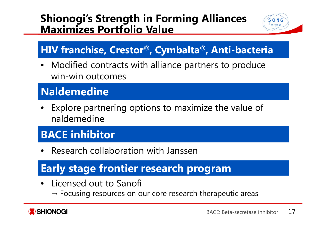#### **Shionogi's Strength in Forming Alliances Maximizes Portfolio Value**



### **HIV franchise, Crestor ®, Cymbalta ®, Anti-bacteria**

• Modified contracts with alliance partners to produce win-win outcomes

## **Naldemedine**

• Explore partnering options to maximize the value of naldemedine

## **BACE inhibitor**

•Research collaboration with Janssen

## **Early stage frontier research program**

- • Licensed out to Sanofi
	- $\rightarrow$  Focusing resources on our core research therapeutic areas

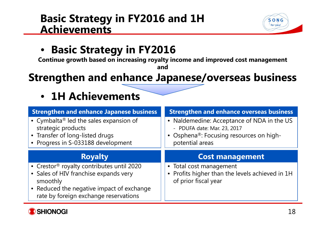#### **Basic Strategy in FY2016 and 1H Achievements**



#### •**Basic Strategy in FY2016**

**Continue growth based on increasing royalty income and improved cost management**

**and**

### **Strengthen and enhance Japanese/overseas business**

## • **1H Achievements**

| <b>Strengthen and enhance Japanese business</b>                                                             | <b>Strengthen and enhance overseas business</b>                                                                      |
|-------------------------------------------------------------------------------------------------------------|----------------------------------------------------------------------------------------------------------------------|
| • Cymbalta <sup>®</sup> led the sales expansion of<br>strategic products<br>• Transfer of long-listed drugs | • Naldemedine: Acceptance of NDA in the US<br>- PDUFA date: Mar. 23, 2017<br>• Osphena®: Focusing resources on high- |
| • Progress in S-033188 development                                                                          | potential areas                                                                                                      |
| <b>Royalty</b>                                                                                              | <b>Cost management</b>                                                                                               |
| • Crestor <sup>®</sup> royalty contributes until 2020<br>• Sales of HIV franchise expands very<br>smoothly  | • Total cost management<br>• Profits higher than the levels achieved in 1H<br>of prior fiscal year                   |

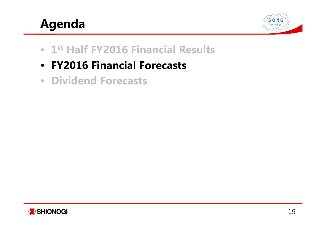# **Agenda**



- **1st Half FY2016 Financial Results**
- **FY2016 Financial Forecasts**
- **Dividend Forecasts**

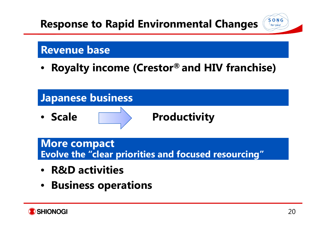## **Response to Rapid Environmental Changes**



#### **Revenue base**

•**Royalty income (Crestor® and HIV franchise)**



**More compact Evolve the "clear priorities and focused resourcing"** 

- **R&D activities**
- **Business operations**

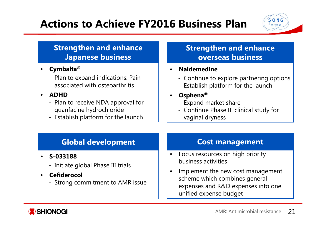## **Actions to Achieve FY2016 Business Plan**



#### **Strengthen and enhance Japanese business**

- $\bullet$  **Cymbalta ®**
	- Plan to expand indications: Pain associated with osteoarthritis

#### •**ADHD**

- Plan to receive NDA approval for guanfacine hydrochloride
- Establish platform for the launch

#### **Strengthen and enhance overseas business**

#### •**Naldemedine**

- Continue to explore partnering options
- Establish platform for the launch
- • **Osphena ®**
	- Expand market share
	- Continue Phase III clinical study for vaginal dryness

#### **Global development**

#### $\bullet$ **S-033188**

- Initiate global Phase III trials
- • **Cefiderocol**
	- Strong commitment to AMR issue

#### **Cost management**

- $\bullet$  Focus resources on high priority business activities
- $\bullet$  Implement the new cost management scheme which combines general expenses and R&D expenses into one unified expense budget

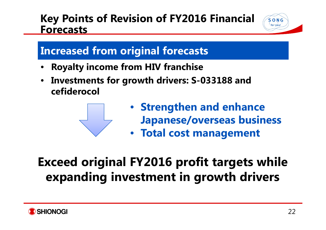#### **Key Points of Revision of FY2016 Financial Forecasts**



### **Increased from original forecasts**

- •**Royalty income from HIV franchise**
- • **Investments for growth drivers: S-033188 and cefiderocol**



- **Strengthen and enhance Japanese/overseas business**
- **Total cost management**

# **Exceed original FY2016 profit targets while expanding investment in growth drivers**

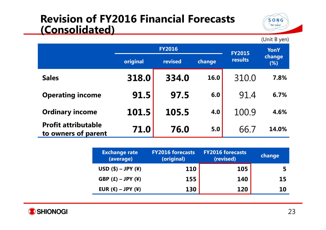#### **Revision of FY2016 Financial Forecasts (Consolidated)**



(Unit B yen)

|                                                   | <b>FY2016</b> |         |        | <b>FY2015</b> | <b>YonY</b>   |
|---------------------------------------------------|---------------|---------|--------|---------------|---------------|
|                                                   | original      | revised | change | results       | change<br>(%) |
| <b>Sales</b>                                      | 318.0         | 334.0   | 16.0   | 310.0         | 7.8%          |
| <b>Operating income</b>                           | 91.5          | 97.5    | 6.0    | 91.4          | 6.7%          |
| <b>Ordinary income</b>                            | 101.5         | 105.5   | 4.0    | 100.9         | 4.6%          |
| <b>Profit attributable</b><br>to owners of parent | 71.0          | 76.0    | 5.0    | 66.7          | 14.0%         |

| <b>Exchange rate</b><br>(average)   | <b>FY2016 forecasts</b><br>(original) | <b>FY2016 forecasts</b><br>(revised) | change |
|-------------------------------------|---------------------------------------|--------------------------------------|--------|
| $USD ($) - JPY (¥)$                 | <b>110</b>                            | 105                                  |        |
| GBP $(E)$ – JPY $(\yen)$            | 155                                   | 140                                  | 15     |
| EUR $(\epsilon)$ – JPY $(\epsilon)$ | 130                                   | <b>120</b>                           | 10     |

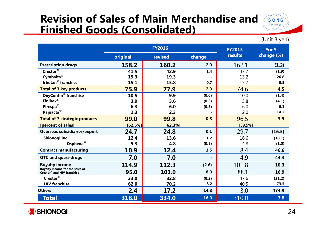### **Revision of Sales of Main Merchandise and Finished Goods (Consolidated)**



(Unit B yen)

|                                                               | <b>FY2016</b> |         |        | <b>FY2015</b> | <b>YonY</b> |
|---------------------------------------------------------------|---------------|---------|--------|---------------|-------------|
|                                                               | original      | revised | change | results       | change (%)  |
| <b>Prescription drugs</b>                                     | 158.2         | 160.2   | 2.0    | 162.1         | (1.2)       |
| Crestor®                                                      | 41.5          | 42.9    | 1.4    | 43.7          | (1.9)       |
| Cymbalta <sup>®</sup>                                         | 19.3          | 19.3    |        | 15.2          | 26.8        |
| <b>Irbetan<sup>®</sup></b> franchise                          | 15.1          | 15.8    | 0.7    | 15.7          | 0.5         |
| <b>Total of 3 key products</b>                                | 75.9          | 77.9    | 2.0    | 74.6          | 4.5         |
| <b>OxyContin<sup>®</sup></b> franchise                        | 10.5          | 9.9     | (0.6)  | 10.0          | (1.4)       |
| Finibax $^{\circledR}$                                        | 3.9           | 3.6     | (0.3)  | 3.8           | (4.1)       |
| Pirespa <sup>®</sup>                                          | 6.3           | 6.0     | (0.3)  | 6.0           | 0.1         |
| Rapiacta <sup>®</sup>                                         | 2.3           | 2.3     |        | 2.0           | 14.2        |
| <b>Total of 7 strategic products</b>                          | 99.0          | 99.8    | 0.8    | 96.5          | 3.5         |
| [percent of sales]                                            | [62.5%]       | [62.3%] |        | [59.5%]       |             |
| <b>Overseas subsidiaries/export</b>                           | 24.7          | 24.8    | 0.1    | 29.7          | (16.5)      |
| Shionogi Inc.                                                 | 12.4          | 13.6    | 1.2    | 16.6          | (18.1)      |
| Osphena <sup>®</sup>                                          | 5.3           | 4.8     | (0.5)  | 4.8           | (1.0)       |
| <b>Contract manufacturing</b>                                 | 10.9          | 12.4    | 1.5    | 8.4           | 46.6        |
| <b>OTC and quasi-drugs</b>                                    | 7.0           | 7.0     |        | 4.9           | 44.3        |
| <b>Royalty income</b>                                         | 114.9         | 112.3   | (2.6)  | 101.8         | 10.3        |
| Royalty income for the sales of<br>Crestor® and HIV franchise | 95.0          | 103.0   | 8.0    | 88.1          | 16.9        |
| Crestor®                                                      | 33.0          | 32.8    | (0.2)  | 47.6          | (31.2)      |
| <b>HIV franchise</b>                                          | 62.0          | 70.2    | 8.2    | 40.5          | 73.5        |
| <b>Others</b>                                                 | 2.4           | 17.2    | 14.8   | 3.0           | 474.9       |
| Total                                                         | 318.0         | 334.0   | 16.0   | 310.0         | 7.8         |

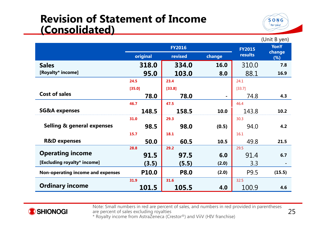#### **Revision of Statement of Income (Consolidated)**



 $(Hint R *van*)$ 

|                                       | <b>FY2016</b>       |             |                | <b>FY2015</b> | $\overline{v}$<br><b>YonY</b> |
|---------------------------------------|---------------------|-------------|----------------|---------------|-------------------------------|
|                                       | original<br>revised |             | change         | results       | change<br>(%)                 |
| <b>Sales</b>                          | 318.0               | 334.0       | 16.0           | 310.0         | 7.8                           |
| [Royalty* income]                     | 95.0                | 103.0       | 8.0            | 88.1          | 16.9                          |
|                                       | 24.5                | 23.4        |                | 24.1          |                               |
|                                       | [35.0]              | [33.8]      |                | [33.7]        |                               |
| <b>Cost of sales</b>                  | 78.0                | 78.0        | $\blacksquare$ | 74.8          | 4.3                           |
|                                       | 46.7                | 47.5        |                | 46.4          |                               |
| <b>SG&amp;A expenses</b>              | 148.5               | 158.5       | 10.0           | 143.8         | 10.2                          |
|                                       | 31.0                | 29.3        |                | 30.3          |                               |
| <b>Selling &amp; general expenses</b> | 98.5                | 98.0        | (0.5)          | 94.0          | 4.2                           |
|                                       | 15.7                | 18.1        |                | 16.1          |                               |
| <b>R&amp;D expenses</b>               | 50.0                | 60.5        | 10.5           | 49.8          | 21.5                          |
|                                       | 28.8                | 29.2        |                | 29.5          |                               |
| <b>Operating income</b>               | 91.5                | 97.5        | 6.0            | 91.4          | 6.7                           |
| [Excluding royalty* income]           | (3.5)               | (5.5)       | (2.0)          | 3.3           |                               |
| Non-operating income and expenses     | P10.0               | <b>P8.0</b> | (2.0)          | P9.5          | (15.5)                        |
|                                       | 31.9                | 31.6        |                | 32.5          |                               |
| <b>Ordinary income</b>                | 101.5               | 105.5       | 4.0            | 100.9         | 4.6                           |



Note: Small numbers in red are percent of sales, and numbers in red provided in parentheses are percent of sales excluding royalties \* Ro yalt y income from AstraZeneca (Crestor ®) and ViiV (HIV franchise)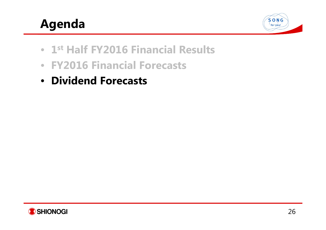# **Agenda**



- **1st Half FY2016 Financial Results**
- **FY2016 Financial Forecasts**
- **Dividend Forecasts**

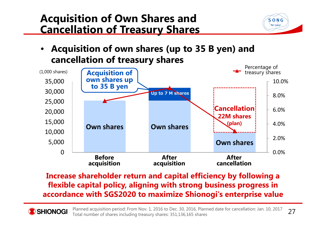### **Acquisition of Own Shares and Cancellation of Treasury Shares**



• **Acquisition of own shares (up to 35 B yen) and cancellation of treasury shares**



**Increase shareholder return and capital efficiency by following a flexible capital policy, aligning with strong business progress in accordance with SGS2020 to maximize Shionogi's enterprise value**

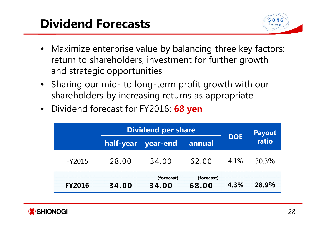# **Dividend Forecasts**



- Maximize enterprise value by balancing three key factors: return to shareholders, investment for further growth and strategic opportunities
- Sharing our mid- to long-term profit growth with our shareholders by increasing returns as appropriate
- Dividend forecast for FY2016: **68 yen**

|               | <b>Dividend per share</b> |                     | <b>Payout</b>       |            |       |  |
|---------------|---------------------------|---------------------|---------------------|------------|-------|--|
|               |                           | half-year year-end  | annual              | <b>DOE</b> | ratio |  |
| FY2015        | 28.00                     | 34.00               | 62.00               | 4.1%       | 30.3% |  |
| <b>FY2016</b> | 34.00                     | (forecast)<br>34.00 | (forecast)<br>68.00 | 4.3%       | 28.9% |  |

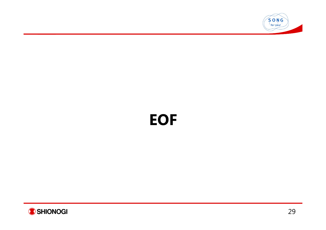

# **EOF**

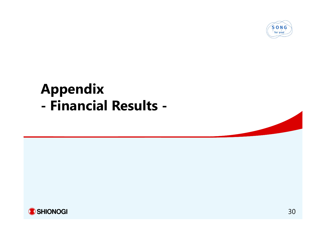

#### **Appendix - Financial Results -**

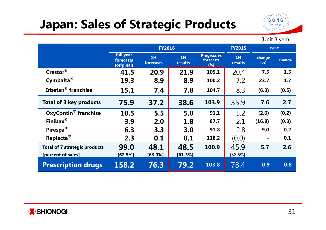# **Japan: Sales of Strategic Products**



(Unit B yen)

|                                        | <b>FY2016</b>                        |                 |               |                                        | <b>FY2015</b> | <b>YonY</b>    |        |
|----------------------------------------|--------------------------------------|-----------------|---------------|----------------------------------------|---------------|----------------|--------|
|                                        | full year<br>forecasts<br>(original) | 1H<br>forecasts | 1H<br>results | <b>Progress vs</b><br>forecasts<br>(%) | 1H<br>results | change<br>(%)  | change |
| Crestor®                               | 41.5                                 | 20.9            | 21.9          | 105.1                                  | 20.4          | 7.5            | 1.5    |
| Cymbalta <sup>®</sup>                  | 19.3                                 | 8.9             | 8.9           | 100.2                                  | 7.2           | 23.7           | 1.7    |
| Irbetan <sup>®</sup> franchise         | 15.1                                 | 7.4             | 7.8           | 104.7                                  | 8.3           | (6.3)          | (0.5)  |
| <b>Total of 3 key products</b>         | 75.9                                 | 37.2            | 38.6          | 103.9                                  | 35.9          | 7.6            | 2.7    |
| <b>OxyContin<sup>®</sup></b> franchise | 10.5                                 | 5.5             | 5.0           | 91.1                                   | 5.2           | (2.6)          | (0.2)  |
| Finibax <sup>®</sup>                   | 3.9                                  | 2.0             | 1.8           | 87.7                                   | 2.1           | (16.8)         | (0.3)  |
| Pirespa <sup>®</sup>                   | 6.3                                  | 3.3             | 3.0           | 91.8                                   | 2.8           | 9.0            | 0.2    |
| Rapiacta <sup>®</sup>                  | 2.3                                  | 0.1             | 0.1           | 118.2                                  | (0.0)         | $\blacksquare$ | 0.1    |
| <b>Total of 7 strategic products</b>   | 99.0                                 | 48.1            | 48.5          | 100.9                                  | 45.9          | 5.7            | 2.6    |
| [percent of sales]                     | [62.5%]                              | $[63.0\%]$      | [61.3%]       |                                        | [58.6%]       |                |        |
| <b>Prescription drugs</b>              | 158.2                                | 76.3            | 79.2          | 103.8                                  | 78.4          | 0.9            | 0.8    |

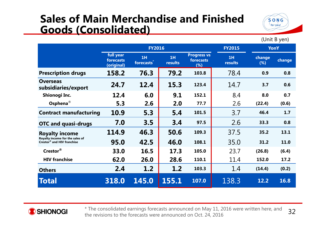#### **Sales of Main Merchandise and Finished Goods (Consolidated)**



(Unit B yen)

**FY2016 FY2015 YonYfull year forecasts(original) 1Hforecasts\* 1HresultsProgress vs forecasts(%) 1Hresultschange (%) change Prescription drugs 158.2 76.3 79.2 103.8** 78.4 **0.9 0.8 Overseas subsidiaries/export 24.7 12.4 15.3 123.4** 14.7 **3.7 0.6 Shionogi Inc. 12.4 6.0 9.1 152.1** 8.4 **8.0 0.7 Osphena** *®* **5.3 2.6 2.0 77.7** 2.6 **(22.4) (0.6) Contract manufacturing 10.9 5.3 5.4 101.5** 3.7 **46.4 1.7 OTC and quasi-drugs 7.0 3.5 3.4 97.5** 2.6 **33.3 0.8 Royalty income Royalty income for the sales of Crestor® and HIV franchise114.9 46.3 50.6109.3** 37.5 35.2 13.1 **95.0 42.5 46.0 108.1** 35.0 **31.2 11.0 Crestor® 33.0 16.5 17.3 105.0** 23.7 **(26.8) (6.4) HIV franchise 62.0 26.0 28.6 110.1** 11.4 **152.0 17.2 Others 2.4 1.2 1.2 103.3** 1.4 **(14.4) (0.2) Total 318.0 145.0 155.1107.0** 138.3 **12.2 16.8**



32 \* The consolidated earnings forecasts announced on May 11, 2016 were written here, and the revisions to the forecasts were announced on Oct. 24, 2016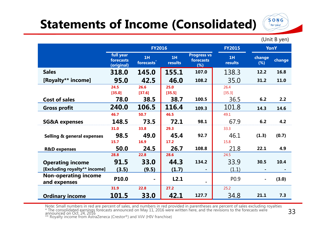# **Statements of Income (Consolidated)**



(Unit B yen)

|                                             | <b>FY2016</b>                        |                              |                |                                        | <b>FY2015</b>    | <b>YonY</b>   |        |
|---------------------------------------------|--------------------------------------|------------------------------|----------------|----------------------------------------|------------------|---------------|--------|
|                                             | full year<br>forecasts<br>(original) | 1H<br>forecasts <sup>*</sup> | 1H<br>results  | <b>Progress vs</b><br>forecasts<br>(%) | 1H<br>results    | change<br>(%) | change |
| <b>Sales</b>                                | 318.0                                | 145.0                        | 155.1          | 107.0                                  | 138.3            | 12.2          | 16.8   |
| [Royalty** income]                          | 95.0                                 | 42.5                         | 46.0           | 108.2                                  | 35.0             | 31.2          | 11.0   |
|                                             | 24.5<br>[35.0]                       | 26.6<br>[37.6]               | 25.0<br>[35.5] |                                        | 26.4<br>[35.3]   |               |        |
| <b>Cost of sales</b>                        | 78.0                                 | 38.5                         | 38.7           | 100.5                                  | 36.5             | 6.2           | 2.2    |
| <b>Gross profit</b>                         | 240.0                                | 106.5                        | 116.4          | 109.3                                  | 101.8            | 14.3          | 14.6   |
|                                             | 46.7                                 | 50.7                         | 46.5           |                                        | 49.1             |               |        |
| <b>SG&amp;A expenses</b>                    | 148.5                                | 73.5                         | 72.1           | 98.1                                   | 67.9             | 6.2           | 4.2    |
|                                             | 31.0                                 | 33.8                         | 29.3           |                                        | 33.3             |               |        |
| <b>Selling &amp; general expenses</b>       | 98.5                                 | 49.0                         | 45.4           | 92.7                                   | 46.1             | (1.3)         | (0.7)  |
|                                             | 15.7                                 | 16.9                         | 17.2           |                                        | 15.8             |               |        |
| <b>R&amp;D</b> expenses                     | 50.0                                 | 24.5                         | 26.7           | 108.8                                  | 21.8             | 22.1          | 4.9    |
|                                             | 28.8                                 | 22.8                         | 28.6           |                                        | 24.5             |               |        |
| <b>Operating income</b>                     | 91.5                                 | 33.0                         | 44.3           | 134.2                                  | 33.9             | 30.5          | 10.4   |
| [Excluding royalty** income]                | (3.5)                                | (9.5)                        | (1.7)          |                                        | (1.1)            |               |        |
| <b>Non-operating income</b><br>and expenses | P10.0                                | $\blacksquare$               | L2.1           |                                        | P <sub>0.9</sub> |               | (3.0)  |
|                                             | 31.9                                 | 22.8                         | 27.2           |                                        | 25.2             |               |        |
| <b>Ordinary income</b>                      | 101.5                                | 33.0                         | 42.1           | 127.7                                  | 34.8             | 21.1          | 7.3    |

Note: Small numbers in red are percent of sales, and numbers in red provided in parentheses are percent of sales excluding royalties<br>\* The consolidated earnings forecasts announced on May 11, 2016 were written here, and th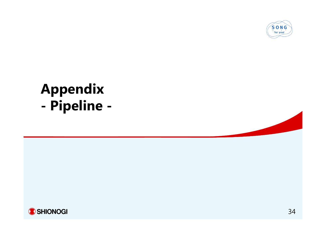

#### **Appendix - Pipeline -**

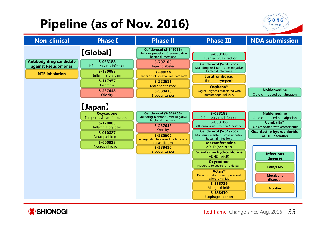# **Pipeline (as of Nov. 2016)**



| <b>Non-clinical</b>                                                            | <b>Phase I</b>                                                                                             | <b>Phase II</b>                                                                                                                   | <b>Phase III</b>                                                                                                                                                                                                                                            | <b>NDA submission</b>                                                                                          |
|--------------------------------------------------------------------------------|------------------------------------------------------------------------------------------------------------|-----------------------------------------------------------------------------------------------------------------------------------|-------------------------------------------------------------------------------------------------------------------------------------------------------------------------------------------------------------------------------------------------------------|----------------------------------------------------------------------------------------------------------------|
|                                                                                | <b>[Global]</b>                                                                                            | Cefiderocol (S-649266)<br>Multidrug-resistant Gram-negative<br>bacterial infections                                               | S-033188<br>Influenza virus infection                                                                                                                                                                                                                       |                                                                                                                |
| <b>Antibody drug candidate</b><br>against Pseudomonas<br><b>NTE</b> inhalation | S-033188<br>Influenza virus infection<br>S-120083<br>Inflammatory pain<br>S-117957<br>Insomnia<br>S-237648 | S-707106<br>Type2 diabetes<br>S-488210<br>Head and neck squamous cell carcinoma<br>S-222611<br><b>Malignant tumor</b><br>S-588410 | Cefiderocol (S-649266)<br>Multidrug-resistant Gram-negative<br>bacterial infections<br>Lusutrombopag<br>Thrombocytopenia<br>Osphena <sup>®</sup><br>Vaginal dryness associated with                                                                         | <b>Naldemedine</b>                                                                                             |
|                                                                                | Obesity<br>[Japan]<br><b>Oxycodone</b><br>Tamper resistant formulation                                     | <b>Bladder cancer</b><br>Cefiderocol (S-649266)<br>Multidrug-resistant Gram-negative<br>bacterial infections                      | postmenopausal VVA<br>S-033188<br>Influenza virus infection<br>S-033188                                                                                                                                                                                     | Opioid-induced constipation<br><b>Naldemedine</b><br>Opioid-induced constipation                               |
|                                                                                | S-120083<br>Inflammatory pain<br>S-010887<br>Neuropathic pain<br>S-600918<br>Neuropathic pain              | S-237648<br>Obesity<br>S-525606<br>Allergic rhinitis caused by Japanese<br>cedar allergen<br>S-588410                             | Influenza virus Infection (pediatric)<br>Cefiderocol (S-649266)<br>Multidrug-resistant Gram-negative<br>bacterial infections<br>Lisdexamfetamine<br>ADHD (pediatric)                                                                                        | <b>Cymbalta®</b><br>Pain associated with osteoarthritis<br><b>Guanfacine hydrochloride</b><br>ADHD (pediatric) |
|                                                                                |                                                                                                            | <b>Bladder cancer</b>                                                                                                             | <b>Guanfacine hydrochloride</b><br>ADHD (adult)<br><b>Oxycodone</b><br>Moderate to severe chronic pain<br><b>Actair®</b><br>Pediatric patients with perennial<br>allergic rhinitis<br>S-555739<br><b>Allergic rhinitis</b><br>S-588410<br>Esophageal cancer | <b>Infectious</b><br>diseases<br>Pain/CNS<br><b>Metabolic</b><br>disorder<br><b>Frontier</b>                   |

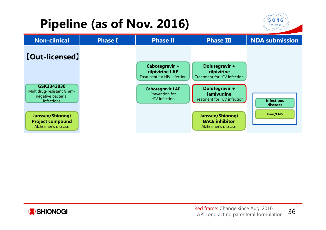# **Pipeline (as of Nov. 2016)**







36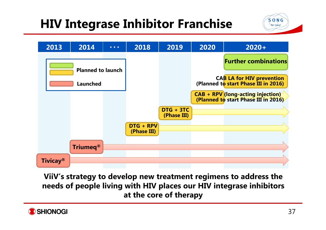# **HIV Integrase Inhibitor Franchise**





**ViiV's strategy to develop new treatment regimens to address the needs of people living with HIV places our HIV integrase inhibitors at the core of therapy**